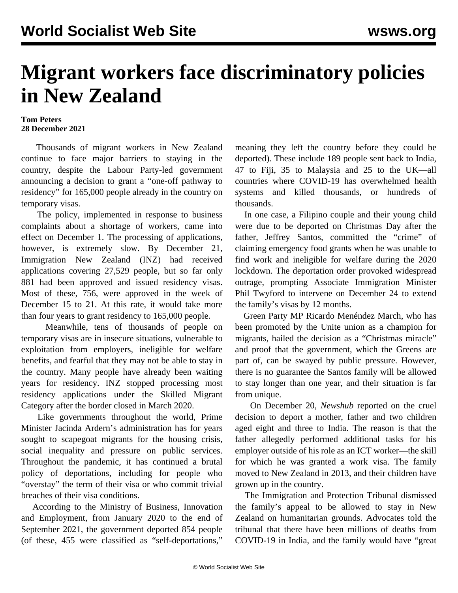## **Migrant workers face discriminatory policies in New Zealand**

## **Tom Peters 28 December 2021**

 Thousands of migrant workers in New Zealand continue to face major barriers to staying in the country, despite the Labour Party-led government announcing a decision to grant a "one-off pathway to residency" for 165,000 people already in the country on temporary visas.

 The [policy,](/en/articles/2021/11/29/nzim-n29.html) implemented in response to business complaints about a shortage of workers, came into effect on December 1. The processing of applications, however, is extremely slow. By December 21, Immigration New Zealand (INZ) had received applications covering 27,529 people, but so far only 881 had been approved and issued residency visas. Most of these, 756, were approved in the week of December 15 to 21. At this rate, it would take more than four years to grant residency to 165,000 people.

 Meanwhile, tens of thousands of people on temporary visas are in insecure situations, vulnerable to exploitation from employers, ineligible for welfare [benefits](/en/articles/2021/09/07/nzim-s07.html), and fearful that they may not be able to stay in the country. Many people have already been waiting years for residency. INZ stopped processing most residency applications under the Skilled Migrant Category after the border closed in March 2020.

 Like governments throughout the world, Prime Minister Jacinda Ardern's administration has for years sought to scapegoat migrants for the housing crisis, social inequality and pressure on public services. Throughout the pandemic, it has continued a brutal policy of deportations, including for people who "overstay" the term of their visa or who commit trivial breaches of their visa conditions.

 According to the Ministry of Business, Innovation and Employment, from January 2020 to the end of September 2021, the government deported 854 people (of these, 455 were classified as "self-deportations,"

meaning they left the country before they could be deported). These include 189 people sent back to India, 47 to Fiji, 35 to Malaysia and 25 to the UK—all countries where COVID-19 has overwhelmed health systems and killed thousands, or hundreds of thousands.

 In one case, a Filipino couple and their young child were due to be deported on Christmas Day after the father, Jeffrey Santos, committed the "crime" of claiming emergency food grants when he was unable to find work and ineligible for welfare during the 2020 lockdown. The deportation order provoked widespread outrage, prompting Associate Immigration Minister Phil Twyford to intervene on December 24 to extend the family's visas by 12 months.

 Green Party MP Ricardo Menéndez March, who has been promoted by the Unite union as a champion for migrants, hailed the decision as a "Christmas miracle" and proof that the government, which the Greens are part of, can be swayed by public pressure. However, there is no guarantee the Santos family will be allowed to stay longer than one year, and their situation is far from unique.

 On December 20, *Newshub* reported on the cruel decision to deport a mother, father and two children aged eight and three to India. The reason is that the father allegedly performed additional tasks for his employer outside of his role as an ICT worker—the skill for which he was granted a work visa. The family moved to New Zealand in 2013, and their children have grown up in the country.

 The Immigration and Protection Tribunal dismissed the family's appeal to be allowed to stay in New Zealand on humanitarian grounds. Advocates told the tribunal that there have been millions of deaths from COVID-19 in India, and the family would have "great